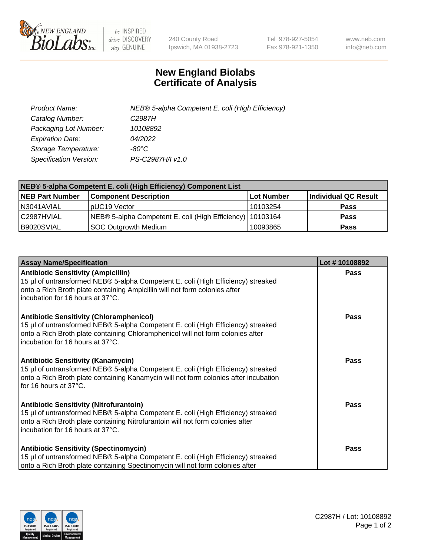

 $be$  INSPIRED drive DISCOVERY stay GENUINE

240 County Road Ipswich, MA 01938-2723 Tel 978-927-5054 Fax 978-921-1350 www.neb.com info@neb.com

## **New England Biolabs Certificate of Analysis**

| Product Name:           | NEB® 5-alpha Competent E. coli (High Efficiency) |
|-------------------------|--------------------------------------------------|
| Catalog Number:         | C <sub>2987</sub> H                              |
| Packaging Lot Number:   | 10108892                                         |
| <b>Expiration Date:</b> | 04/2022                                          |
| Storage Temperature:    | -80°C                                            |
| Specification Version:  | PS-C2987H/I v1.0                                 |

| NEB® 5-alpha Competent E. coli (High Efficiency) Component List |                                                             |            |                      |  |
|-----------------------------------------------------------------|-------------------------------------------------------------|------------|----------------------|--|
| <b>NEB Part Number</b>                                          | <b>Component Description</b>                                | Lot Number | Individual QC Result |  |
| N3041AVIAL                                                      | pUC19 Vector                                                | 10103254   | <b>Pass</b>          |  |
| C2987HVIAL                                                      | NEB® 5-alpha Competent E. coli (High Efficiency)   10103164 |            | <b>Pass</b>          |  |
| B9020SVIAL                                                      | <b>SOC Outgrowth Medium</b>                                 | 10093865   | <b>Pass</b>          |  |

| <b>Assay Name/Specification</b>                                                                                                                                                                                                                            | Lot #10108892 |
|------------------------------------------------------------------------------------------------------------------------------------------------------------------------------------------------------------------------------------------------------------|---------------|
| <b>Antibiotic Sensitivity (Ampicillin)</b><br>15 µl of untransformed NEB® 5-alpha Competent E. coli (High Efficiency) streaked<br>onto a Rich Broth plate containing Ampicillin will not form colonies after<br>incubation for 16 hours at 37°C.           | <b>Pass</b>   |
| <b>Antibiotic Sensitivity (Chloramphenicol)</b><br>15 µl of untransformed NEB® 5-alpha Competent E. coli (High Efficiency) streaked<br>onto a Rich Broth plate containing Chloramphenicol will not form colonies after<br>incubation for 16 hours at 37°C. | Pass          |
| Antibiotic Sensitivity (Kanamycin)<br>15 µl of untransformed NEB® 5-alpha Competent E. coli (High Efficiency) streaked<br>onto a Rich Broth plate containing Kanamycin will not form colonies after incubation<br>for 16 hours at 37°C.                    | Pass          |
| <b>Antibiotic Sensitivity (Nitrofurantoin)</b><br>15 µl of untransformed NEB® 5-alpha Competent E. coli (High Efficiency) streaked<br>onto a Rich Broth plate containing Nitrofurantoin will not form colonies after<br>incubation for 16 hours at 37°C.   | <b>Pass</b>   |
| <b>Antibiotic Sensitivity (Spectinomycin)</b><br>15 µl of untransformed NEB® 5-alpha Competent E. coli (High Efficiency) streaked<br>onto a Rich Broth plate containing Spectinomycin will not form colonies after                                         | Pass          |